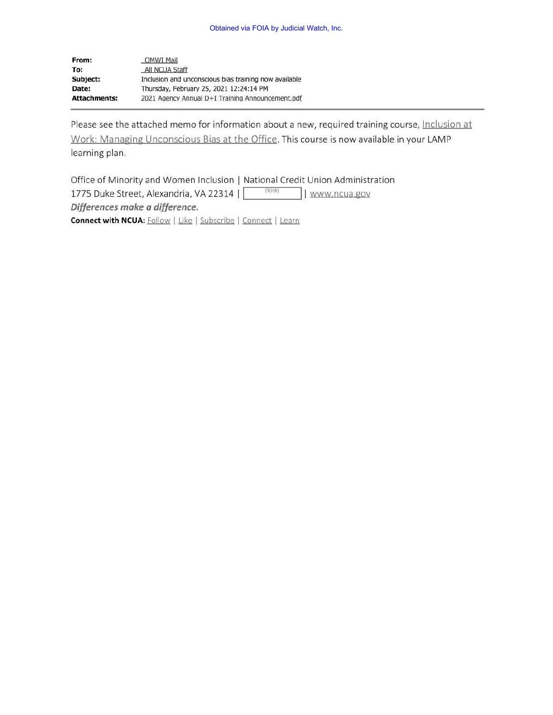| From:               | <b>OMWI Mail</b>                                      |
|---------------------|-------------------------------------------------------|
| To:                 | All NCUA Staff                                        |
| Subject:            | Inclusion and unconscious bias training now available |
| Date:               | Thursday, February 25, 2021 12:24:14 PM               |
| <b>Attachments:</b> | 2021 Agency Annual D+I Training Announcement.pdf      |

Please see the attached memo for information about a new, required training course, Inclusion at Work: Managing Unconscious Bias at the Office. This course is now available in your LAMP learning plan.

Office of Minority and Women Inclusion I National Credit Union Administration 1775 Duke Street, Alexandria, VA 22314 | | www.ncua.gov *Differences make a difference.*  **Connect with NCUA:** Follow | Like | Subscribe | Connect | Learn